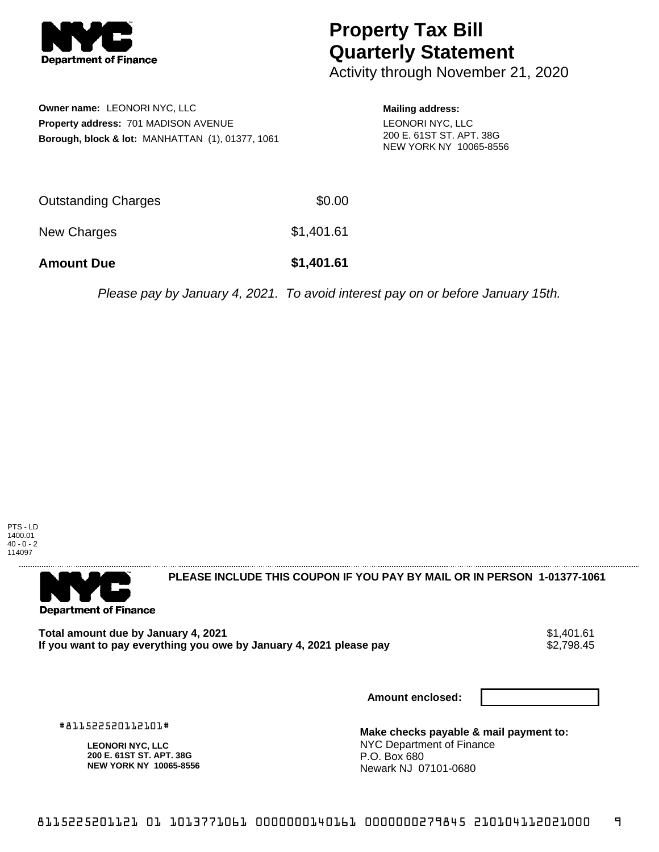

## **Property Tax Bill Quarterly Statement**

Activity through November 21, 2020

**Owner name:** LEONORI NYC, LLC **Property address:** 701 MADISON AVENUE **Borough, block & lot:** MANHATTAN (1), 01377, 1061 **Mailing address:** LEONORI NYC, LLC 200 E. 61ST ST. APT. 38G NEW YORK NY 10065-8556

| <b>Amount Due</b>   | \$1,401.61 |
|---------------------|------------|
| New Charges         | \$1,401.61 |
| Outstanding Charges | \$0.00     |

Please pay by January 4, 2021. To avoid interest pay on or before January 15th.





**PLEASE INCLUDE THIS COUPON IF YOU PAY BY MAIL OR IN PERSON 1-01377-1061** 

**Total amount due by January 4, 2021**<br>If you want to pay everything you owe by January 4, 2021 please pay **show that the summan of the set of the s**2,798.45 If you want to pay everything you owe by January 4, 2021 please pay

**Amount enclosed:**

#811522520112101#

**LEONORI NYC, LLC 200 E. 61ST ST. APT. 38G NEW YORK NY 10065-8556**

**Make checks payable & mail payment to:** NYC Department of Finance P.O. Box 680 Newark NJ 07101-0680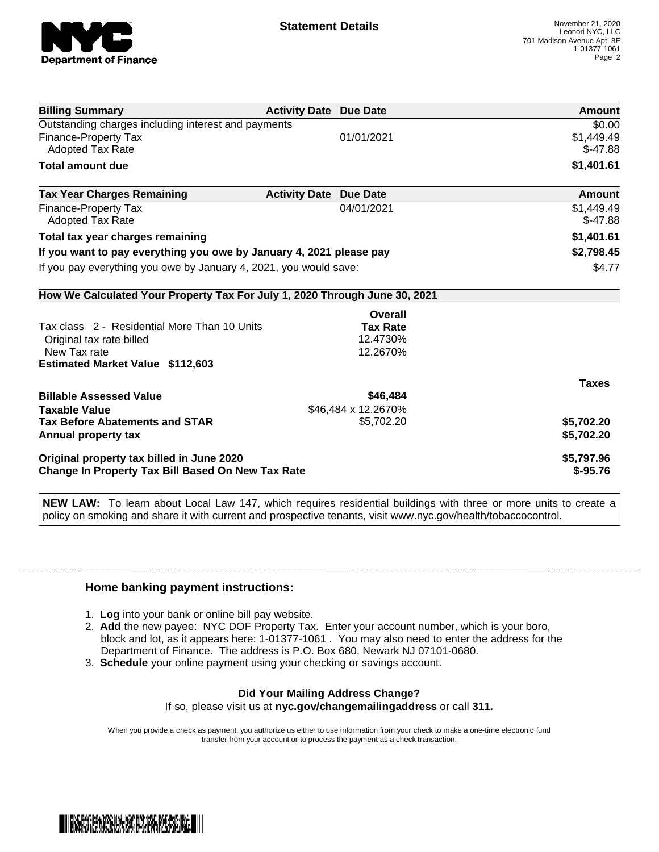

| <b>Billing Summary</b>                                                     | <b>Activity Date Due Date</b>           | Amount       |
|----------------------------------------------------------------------------|-----------------------------------------|--------------|
| Outstanding charges including interest and payments                        |                                         | \$0.00       |
| <b>Finance-Property Tax</b>                                                | 01/01/2021                              | \$1,449.49   |
| Adopted Tax Rate                                                           |                                         | $$-47.88$    |
| <b>Total amount due</b>                                                    |                                         | \$1,401.61   |
| <b>Tax Year Charges Remaining</b>                                          | <b>Activity Date</b><br><b>Due Date</b> | Amount       |
| Finance-Property Tax                                                       | 04/01/2021                              | \$1,449.49   |
| Adopted Tax Rate                                                           |                                         | $$-47.88$    |
| Total tax year charges remaining                                           |                                         | \$1,401.61   |
| If you want to pay everything you owe by January 4, 2021 please pay        |                                         | \$2,798.45   |
| If you pay everything you owe by January 4, 2021, you would save:          |                                         | \$4.77       |
| How We Calculated Your Property Tax For July 1, 2020 Through June 30, 2021 |                                         |              |
|                                                                            | Overall                                 |              |
| Tax class 2 - Residential More Than 10 Units                               | <b>Tax Rate</b>                         |              |
| Original tax rate billed                                                   | 12.4730%                                |              |
| New Tax rate                                                               | 12.2670%                                |              |
| <b>Estimated Market Value \$112,603</b>                                    |                                         |              |
|                                                                            |                                         | <b>Taxes</b> |
| <b>Billable Assessed Value</b>                                             | \$46,484                                |              |
| <b>Taxable Value</b>                                                       | \$46,484 x 12.2670%                     |              |
| <b>Tax Before Abatements and STAR</b>                                      | \$5,702.20                              | \$5,702.20   |
| Annual property tax                                                        |                                         | \$5,702.20   |
| Original property tax billed in June 2020                                  |                                         | \$5,797.96   |
| Change In Property Tax Bill Based On New Tax Rate                          |                                         | $$ -95.76$   |

**NEW LAW:** To learn about Local Law 147, which requires residential buildings with three or more units to create a policy on smoking and share it with current and prospective tenants, visit www.nyc.gov/health/tobaccocontrol.

## **Home banking payment instructions:**

- 1. **Log** into your bank or online bill pay website.
- 2. **Add** the new payee: NYC DOF Property Tax. Enter your account number, which is your boro, block and lot, as it appears here: 1-01377-1061 . You may also need to enter the address for the Department of Finance. The address is P.O. Box 680, Newark NJ 07101-0680.
- 3. **Schedule** your online payment using your checking or savings account.

## **Did Your Mailing Address Change?**

If so, please visit us at **nyc.gov/changemailingaddress** or call **311.**

When you provide a check as payment, you authorize us either to use information from your check to make a one-time electronic fund transfer from your account or to process the payment as a check transaction.